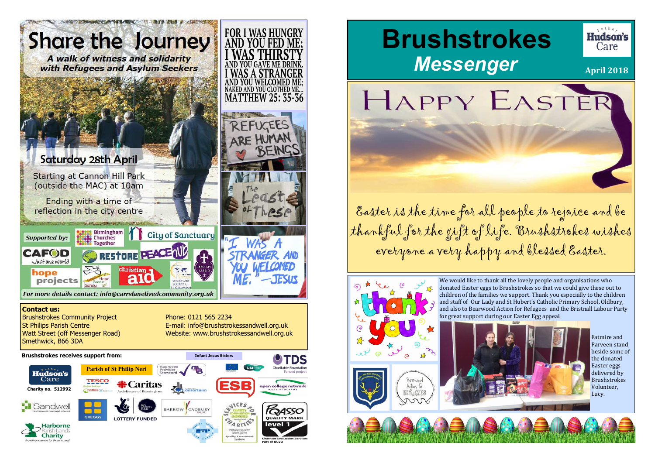

 Brushstrokes Community ProjectSt Philips Parish Centre Watt Street (off Messenger Road)Smethwick, B66 3DA

Phone: 0121 565 2234 E-mail: info@brushstrokessandwell.org.ukWebsite: www.brushstrokessandwell.org.uk

Easter is the time for all people to rejoice and be thankful for the gift of life. Brushstrokes wishes everyone a very happy and blessed Easter.



We would like to thank all the lovely people and organisations who donated Easter eggs to Brushstrokes so that we could give these out to children of the families we support. Thank you especially to the children and staff of Our Lady and St Hubert's Catholic Primary School, Oldbury, and also to Bearwood Action for Refugees and the Bristnall Labour Party for great support during our Easter Egg appeal.



#### **Brushstrokes receives support from:**

**Infant Jesus Sisters**



# **Brushstrokes** *Messenger*

HAPPY EASTER

Fatmire and Parveen stand beside some of the donated Easter eggs delivered by Brushstrokes Volunteer, Lucy.